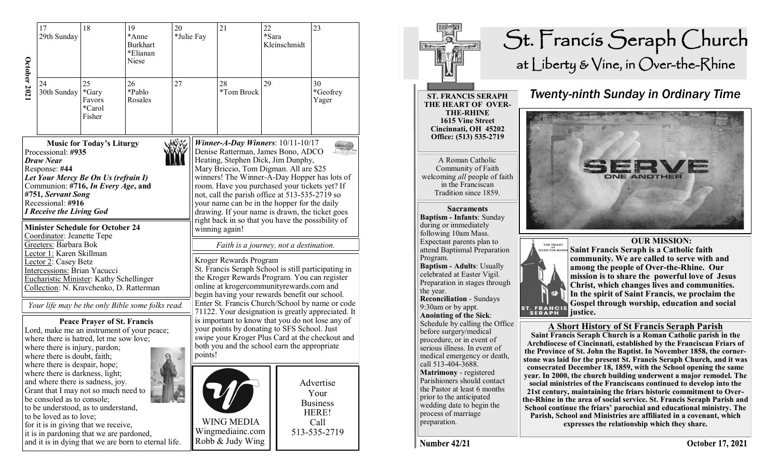| October 2021 | 18<br>17<br>19<br>29th Sunday                                                                                                                                                                                                                                                                                                                                                            |                                        | *Anne<br><b>Burkhart</b><br>*Elianan<br><b>Niese</b>      | 20<br>*Julie Fay |                  | 21                                                                                                                                                                                                                                                                                                                                                                                                                                                                                     | 22<br>*Sara | Kleinschmidt            | 23 |  |
|--------------|------------------------------------------------------------------------------------------------------------------------------------------------------------------------------------------------------------------------------------------------------------------------------------------------------------------------------------------------------------------------------------------|----------------------------------------|-----------------------------------------------------------|------------------|------------------|----------------------------------------------------------------------------------------------------------------------------------------------------------------------------------------------------------------------------------------------------------------------------------------------------------------------------------------------------------------------------------------------------------------------------------------------------------------------------------------|-------------|-------------------------|----|--|
|              | 25<br>26<br>24<br>30th Sunday<br>*Pablo<br>*Gary<br>Rosales<br>Favors<br>*Carol<br>Fisher                                                                                                                                                                                                                                                                                                |                                        | 27                                                        |                  | 28<br>*Tom Brock | 29                                                                                                                                                                                                                                                                                                                                                                                                                                                                                     |             | 30<br>*Geofrey<br>Yager |    |  |
|              | <b>Music for Today's Liturgy</b><br>必んん<br>Processional: #935<br><b>Draw Near</b><br>Response: #44<br>Let Your Mercy Be On Us (refrain I)<br>Communion: #716, In Every Age, and<br>#751, Servant Song<br>Recessional: #916<br><b>I Receive the Living God</b><br><b>Minister Schedule for October 24</b>                                                                                 |                                        |                                                           |                  |                  | Winner-A-Day Winners: $10/11-10/17$<br>Denise Ratterman, James Bono, ADCO<br>Heating, Stephen Dick, Jim Dunphy,<br>Mary Briccio, Tom Digman. All are \$25<br>winners! The Winner-A-Day Hopper has lots of<br>room. Have you purchased your tickets yet? If<br>not, call the parish office at 513-535-2719 so<br>your name can be in the hopper for the daily<br>drawing. If your name is drawn, the ticket goes<br>right back in so that you have the possibility of<br>winning again! |             |                         |    |  |
|              | Coordinator: Jeanette Tepe<br>Greeters: Barbara Bok                                                                                                                                                                                                                                                                                                                                      | Faith is a journey, not a destination. |                                                           |                  |                  |                                                                                                                                                                                                                                                                                                                                                                                                                                                                                        |             |                         |    |  |
|              | Lector 1: Karen Skillman<br>Lector 2: Casey Betz<br>Intercessions: Brian Yacucci<br>Eucharistic Minister: Kathy Schellinger<br>Collection: N. Kravchenko, D. Ratterman                                                                                                                                                                                                                   |                                        |                                                           |                  |                  | Kroger Rewards Program<br>St. Francis Seraph School is still participating in<br>the Kroger Rewards Program. You can register<br>online at krogercommunityrewards.com and<br>begin having your rewards benefit our school.                                                                                                                                                                                                                                                             |             |                         |    |  |
|              | Your life may be the only Bible some folks read.                                                                                                                                                                                                                                                                                                                                         |                                        |                                                           |                  |                  | Enter St. Francis Church/School by name or code<br>71122. Your designation is greatly appreciated. It                                                                                                                                                                                                                                                                                                                                                                                  |             |                         |    |  |
|              | <b>Peace Prayer of St. Francis</b><br>Lord, make me an instrument of your peace;<br>where there is hatred, let me sow love;<br>where there is injury, pardon;<br>where there is doubt, faith;                                                                                                                                                                                            |                                        |                                                           |                  |                  | is important to know that you do not lose any of<br>your points by donating to SFS School. Just<br>swipe your Kroger Plus Card at the checkout and<br>both you and the school earn the appropriate<br>points!                                                                                                                                                                                                                                                                          |             |                         |    |  |
|              | where there is despair, hope;<br>where there is darkness, light;<br>and where there is sadness, joy.<br>Grant that I may not so much need to<br>be consoled as to console;<br>to be understood, as to understand,<br>to be loved as to love;<br>for it is in giving that we receive,<br>it is in pardoning that we are pardoned,<br>and it is in dying that we are born to eternal life. |                                        | <b>WING MEDIA</b><br>Wingmediainc.com<br>Robb & Judy Wing |                  |                  | Advertise<br>Your<br><b>Business</b><br>HERE!<br>Call<br>513-535-2719                                                                                                                                                                                                                                                                                                                                                                                                                  |             |                         |    |  |